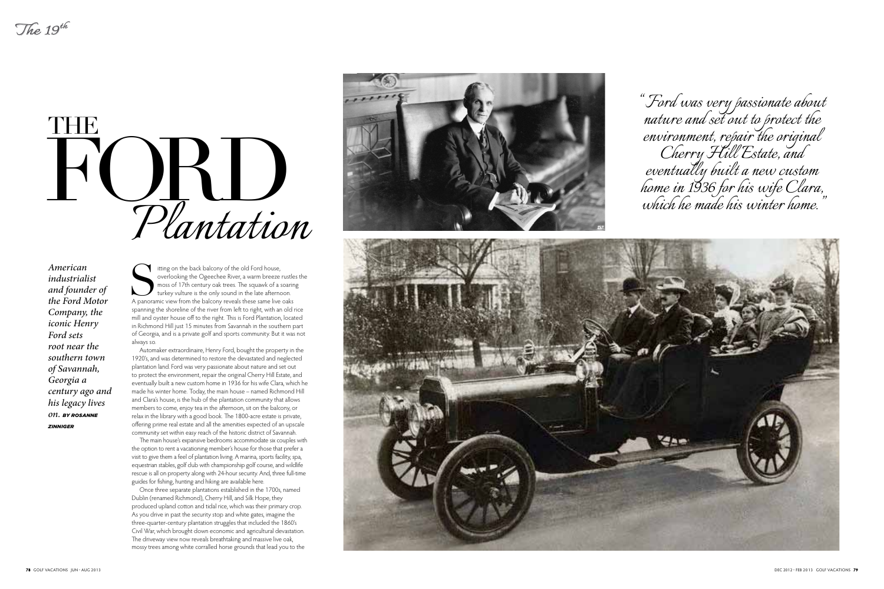Sitting on the back balcony of the old Ford house, overlooking the Ogeechee River, a warm breeze rustle moss of 17th century oak trees. The squawk of a soarin turkey vulture is the only sound in the late afternoon.<br>A panor overlooking the Ogeechee River, a warm breeze rustles the moss of 17th century oak trees. The squawk of a soaring turkey vulture is the only sound in the late afternoon. spanning the shoreline of the river from left to right, with an old rice mill and oyster house off to the right. This is Ford Plantation, located in Richmond Hill just 15 minutes from Savannah in the southern part of Georgia, and is a private golf and sports community. But it was not always so.

Automaker extraordinaire, Henry Ford, bought the property in the 1920's, and was determined to restore the devastated and neglected plantation land. Ford was very passionate about nature and set out to protect the environment, repair the original Cherry Hill Estate, and eventually built a new custom home in 1936 for his wife Clara, which he made his winter home. Today, the main house – named Richmond Hill and Clara's house, is the hub of the plantation community that allows members to come, enjoy tea in the afternoon, sit on the balcony, or relax in the library with a good book. The 1800-acre estate is private, offering prime real estate and all the amenities expected of an upscale community set within easy reach of the historic district of Savannah.

The main house's expansive bedrooms accommodate six couples with the option to rent a vacationing member's house for those that prefer a visit to give them a feel of plantation living. A marina, sports facility, spa, equestrian stables, golf club with championship golf course, and wildlife rescue is all on property along with 24-hour security. And, three full-time guides for fishing, hunting and hiking are available here.

Once three separate plantations established in the 1700s, named Dublin (renamed Richmond), Cherry Hill, and Silk Hope, they produced upland cotton and tidal rice, which was their primary crop. As you drive in past the security stop and white gates, imagine the three-quarter-century plantation struggles that included the 1860's Civil War, which brought down economic and agricultural devastation. The driveway view now reveals breathtaking and massive live oak, mossy trees among white corralled horse grounds that lead you to the





*American industrialist and founder of the Ford Motor Company, the iconic Henry Ford sets root near the southern town of Savannah, Georgia a century ago and his legacy lives on. By Rosanne Zinniger*



*"Ford was very passionate about nature and set out to protect the environment, repair the original Cherry Hill Estate, and eventually built a new custom home in 1936 for his wife Clara, which he made his winter home."*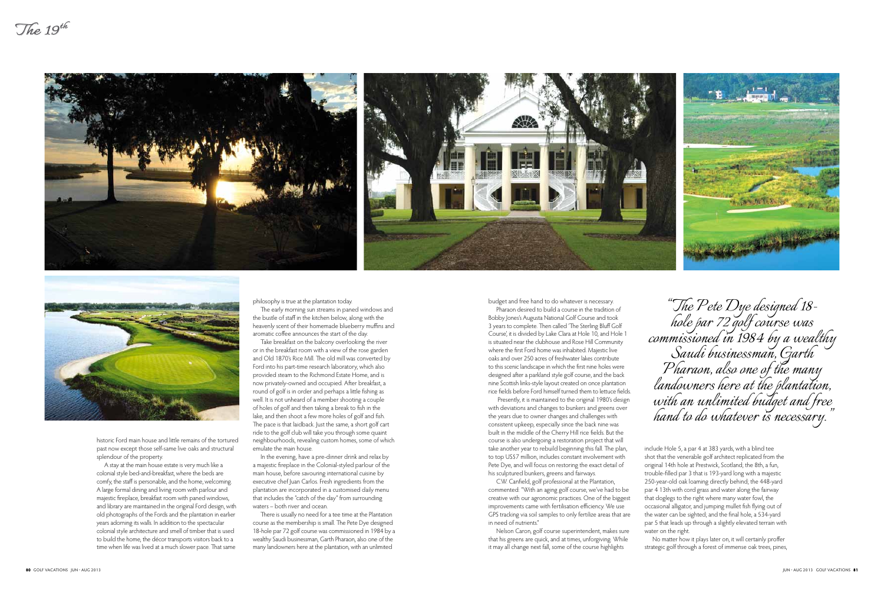







historic Ford main house and little remains of the tortured past now except those self-same live oaks and structural splendour of the property.

A stay at the main house estate is very much like a colonial style bed-and-breakfast, where the beds are comfy, the staff is personable, and the home, welcoming. A large formal dining and living room with parlour and majestic fireplace, breakfast room with paned windows, and library are maintained in the original Ford design, with old photographs of the Fords and the plantation in earlier years adorning its walls. In addition to the spectacular colonial style architecture and smell of timber that is used to build the home, the décor transports visitors back to a time when life was lived at a much slower pace. That same

include Hole 5, a par 4 at 383 yards, with a blind tee shot that the venerable golf architect replicated from the original 14th hole at Prestwick, Scotland; the 8th, a fun, trouble-filled par 3 that is 193-yard long with a majestic 250-year-old oak loaming directly behind; the 448-yard par 4 13th with cord grass and water along the fairway that doglegs to the right where many water fowl, the occasional alligator, and jumping mullet fish flying out of the water can be sighted; and the final hole, a 534-yard par 5 that leads up through a slightly elevated terrain with water on the right.

In the evening, have a pre-dinner drink and relax by a majestic fireplace in the Colonial-styled parlour of the main house, before savouring international cuisine by executive chef Juan Carlos. Fresh ingredients from the plantation are incorporated in a customised daily menu that includes the "catch of the day" from surrounding waters – both river and ocean.

> No matter how it plays later on, it will certainly proffer strategic golf through a forest of immense oak trees, pines,

philosophy is true at the plantation today.

The early morning sun streams in paned windows and the bustle of staff in the kitchen below, along with the heavenly scent of their homemade blueberry muffins and aromatic coffee announces the start of the day.

Take breakfast on the balcony overlooking the river or in the breakfast room with a view of the rose garden and Old 1870's Rice Mill. The old mill was converted by Ford into his part-time research laboratory, which also provided steam to the Richmond Estate Home, and is now privately-owned and occupied. After breakfast, a round of golf is in order and perhaps a little fishing as well. It is not unheard of a member shooting a couple of holes of golf and then taking a break to fish in the lake, and then shoot a few more holes of golf and fish. The pace is that laidback. Just the same, a short golf cart ride to the golf club will take you through some quaint neighbourhoods, revealing custom homes, some of which emulate the main house.

There is usually no need for a tee time at the Plantation course as the membership is small. The Pete Dye designed 18-hole par 72 golf course was commissioned in 1984 by a wealthy Saudi businessman, Garth Pharaon, also one of the many landowners here at the plantation, with an unlimited

budget and free hand to do whatever is necessary.

Pharaon desired to build a course in the tradition of Bobby Jones's Augusta National Golf Course and took 3 years to complete. Then called 'The Sterling Bluff Golf Course', it is divided by Lake Clara at Hole 10, and Hole 1 is situated near the clubhouse and Rose Hill Community where the first Ford home was inhabited. Majestic live oaks and over 250 acres of freshwater lakes contribute to this scenic landscape in which the first nine holes were designed after a parkland style golf course, and the back nine Scottish links-style layout created on once plantation rice fields before Ford himself turned them to lettuce fields.

 Presently, it is maintained to the original 1980's design with deviations and changes to bunkers and greens over the years due to owner changes and challenges with consistent upkeep, especially since the back nine was built in the middle of the Cherry Hill rice fields. But the course is also undergoing a restoration project that will take another year to rebuild beginning this fall. The plan, to top US\$7 million, includes constant involvement with Pete Dye, and will focus on restoring the exact detail of his sculptured bunkers, greens and fairways.

C.W. Canfield, golf professional at the Plantation, commented: "With an aging golf course, we've had to be creative with our agronomic practices. One of the biggest improvements came with fertilisation efficiency. We use GPS tracking via soil samples to only fertilize areas that are in need of nutrients."

Nelson Caron, golf course superintendent, makes sure that his greens are quick, and at times, unforgiving. While it may all change next fall, some of the course highlights

*"The Pete Dye designed 18 hole par 72 golf course was commissioned in 1984 by a wealthy Saudi businessman, Garth Pharaon, also one of the many landowners here at the plantation, with an unlimited budget and free hand to do whatever is necessary."*